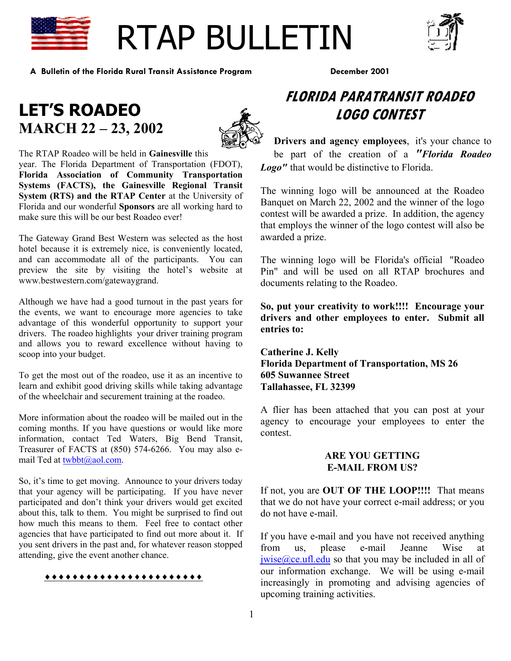

# RTAP BULLETIN



**A Bulletin of the Florida Rural Transit Assistance Program December 2001** 

## **LET'S ROADEO MARCH 22 – 23, 2002**



The RTAP Roadeo will be held in **Gainesville** this year. The Florida Department of Transportation (FDOT), **Florida Association of Community Transportation Systems (FACTS), the Gainesville Regional Transit System (RTS) and the RTAP Center** at the University of Florida and our wonderful **Sponsors** are all working hard to make sure this will be our best Roadeo ever!

The Gateway Grand Best Western was selected as the host hotel because it is extremely nice, is conveniently located, and can accommodate all of the participants. You can preview the site by visiting the hotel's website at www.bestwestern.com/gatewaygrand.

Although we have had a good turnout in the past years for the events, we want to encourage more agencies to take advantage of this wonderful opportunity to support your drivers. The roadeo highlights your driver training program and allows you to reward excellence without having to scoop into your budget.

To get the most out of the roadeo, use it as an incentive to learn and exhibit good driving skills while taking advantage of the wheelchair and securement training at the roadeo.

More information about the roadeo will be mailed out in the coming months. If you have questions or would like more information, contact Ted Waters, Big Bend Transit, Treasurer of FACTS at (850) 574-6266. You may also email Ted at [twbbt@aol.com.](mailto:twbbt@aol.com)

So, it's time to get moving. Announce to your drivers today that your agency will be participating. If you have never participated and don't think your drivers would get excited about this, talk to them. You might be surprised to find out how much this means to them. Feel free to contact other agencies that have participated to find out more about it. If you sent drivers in the past and, for whatever reason stopped attending, give the event another chance.

#### ♦♦♦♦♦♦♦♦♦♦♦♦♦♦♦♦♦♦♦♦♦♦♦

## **FLORIDA PARATRANSIT ROADEO LOGO CONTEST**

**Drivers and agency employees**, it's your chance to be part of the creation of a *"Florida Roadeo Logo"* that would be distinctive to Florida.

The winning logo will be announced at the Roadeo Banquet on March 22, 2002 and the winner of the logo contest will be awarded a prize. In addition, the agency that employs the winner of the logo contest will also be awarded a prize.

The winning logo will be Florida's official "Roadeo Pin" and will be used on all RTAP brochures and documents relating to the Roadeo.

**So, put your creativity to work!!!! Encourage your drivers and other employees to enter. Submit all entries to:** 

**Catherine J. Kelly Florida Department of Transportation, MS 26 605 Suwannee Street Tallahassee, FL 32399** 

A flier has been attached that you can post at your agency to encourage your employees to enter the contest.

#### **ARE YOU GETTING E-MAIL FROM US?**

If not, you are **OUT OF THE LOOP!!!!** That means that we do not have your correct e-mail address; or you do not have e-mail.

If you have e-mail and you have not received anything from us, please e-mail Jeanne Wise at  $iwise@ce.ufl.edu$  so that you may be included in all of our information exchange. We will be using e-mail increasingly in promoting and advising agencies of upcoming training activities.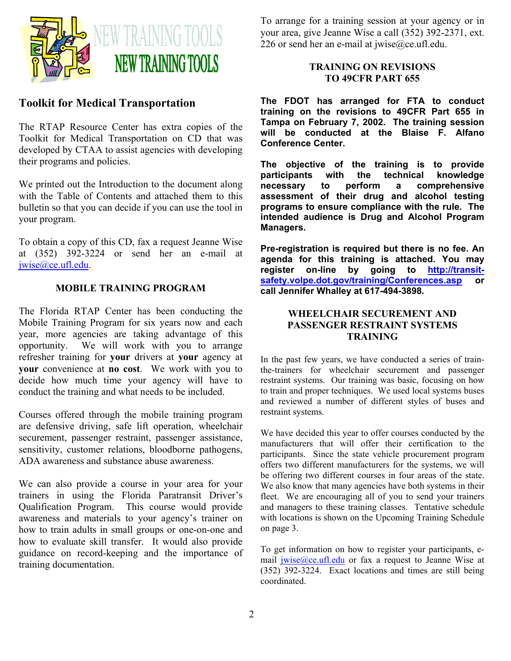

#### **Toolkit for Medical Transportation**

The RTAP Resource Center has extra copies of the Toolkit for Medical Transportation on CD that was developed by CTAA to assist agencies with developing their programs and policies.

We printed out the Introduction to the document along with the Table of Contents and attached them to this bulletin so that you can decide if you can use the tool in your program.

To obtain a copy of this CD, fax a request Jeanne Wise at (352) 392-3224 or send her an e-mail at [jwise@ce.ufl.edu](mailto:jwise@ce.ufl.edu).

#### **MOBILE TRAINING PROGRAM**

The Florida RTAP Center has been conducting the Mobile Training Program for six years now and each year, more agencies are taking advantage of this opportunity. We will work with you to arrange refresher training for **your** drivers at **your** agency at **your** convenience at **no cost**. We work with you to decide how much time your agency will have to conduct the training and what needs to be included.

Courses offered through the mobile training program are defensive driving, safe lift operation, wheelchair securement, passenger restraint, passenger assistance, sensitivity, customer relations, bloodborne pathogens, ADA awareness and substance abuse awareness.

We can also provide a course in your area for your trainers in using the Florida Paratransit Driver's Qualification Program. This course would provide awareness and materials to your agency's trainer on how to train adults in small groups or one-on-one and how to evaluate skill transfer. It would also provide guidance on record-keeping and the importance of training documentation.

To arrange for a training session at your agency or in your area, give Jeanne Wise a call (352) 392-2371, ext. 226 or send her an e-mail at jwise@ce.ufl.edu.

#### **TRAINING ON REVISIONS TO 49CFR PART 655**

**The FDOT has arranged for FTA to conduct training on the revisions to 49CFR Part 655 in Tampa on February 7, 2002. The training session will be conducted at the Blaise F. Alfano Conference Center.** 

**The objective of the training is to provide participants with the technical knowledge necessary to perform a comprehensive assessment of their drug and alcohol testing programs to ensure compliance with the rule. The intended audience is Drug and Alcohol Program Managers.** 

**Pre-registration is required but there is no fee. An agenda for this training is attached. You may register on-line by going to [http://transit](http://transit-safety.volpe.dot.gov/training/Conferences.asp)[safety.volpe.dot.gov/training/Conferences.asp](http://transit-safety.volpe.dot.gov/training/Conferences.asp) or call Jennifer Whalley at 617-494-3898.** 

#### **WHEELCHAIR SECUREMENT AND PASSENGER RESTRAINT SYSTEMS TRAINING**

In the past few years, we have conducted a series of trainthe-trainers for wheelchair securement and passenger restraint systems. Our training was basic, focusing on how to train and proper techniques. We used local systems buses and reviewed a number of different styles of buses and restraint systems.

We have decided this year to offer courses conducted by the manufacturers that will offer their certification to the participants. Since the state vehicle procurement program offers two different manufacturers for the systems, we will be offering two different courses in four areas of the state. We also know that many agencies have both systems in their fleet. We are encouraging all of you to send your trainers and managers to these training classes. Tentative schedule with locations is shown on the Upcoming Training Schedule on page 3.

To get information on how to register your participants, email [jwise@ce.ufl.edu](mailto:jwise@ce.ufl.edu) or fax a request to Jeanne Wise at (352) 392-3224. Exact locations and times are still being coordinated.